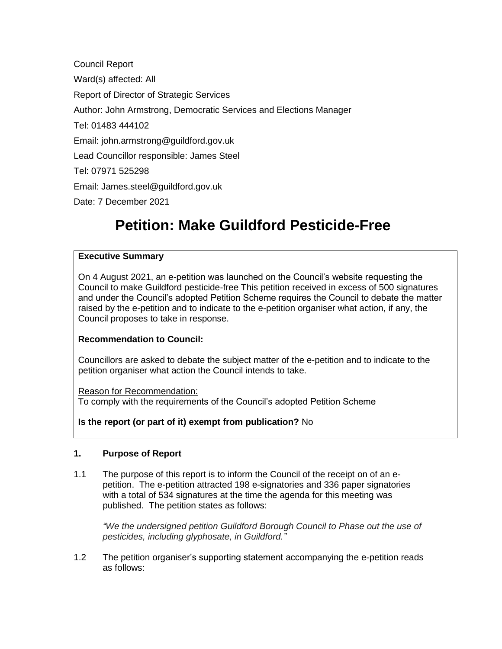Council Report Ward(s) affected: All Report of Director of Strategic Services Author: John Armstrong, Democratic Services and Elections Manager Tel: 01483 444102 Email: john.armstrong@guildford.gov.uk Lead Councillor responsible: James Steel Tel: 07971 525298 Email: James.steel@guildford.gov.uk Date: 7 December 2021

# **Petition: Make Guildford Pesticide-Free**

# **Executive Summary**

On 4 August 2021, an e-petition was launched on the Council's website requesting the Council to make Guildford pesticide-free This petition received in excess of 500 signatures and under the Council's adopted Petition Scheme requires the Council to debate the matter raised by the e-petition and to indicate to the e-petition organiser what action, if any, the Council proposes to take in response.

# **Recommendation to Council:**

Councillors are asked to debate the subject matter of the e-petition and to indicate to the petition organiser what action the Council intends to take.

#### Reason for Recommendation:

To comply with the requirements of the Council's adopted Petition Scheme

# **Is the report (or part of it) exempt from publication?** No

#### **1. Purpose of Report**

1.1 The purpose of this report is to inform the Council of the receipt on of an epetition. The e-petition attracted 198 e-signatories and 336 paper signatories with a total of 534 signatures at the time the agenda for this meeting was published. The petition states as follows:

*"We the undersigned petition Guildford Borough Council to Phase out the use of pesticides, including glyphosate, in Guildford."*

1.2 The petition organiser's supporting statement accompanying the e-petition reads as follows: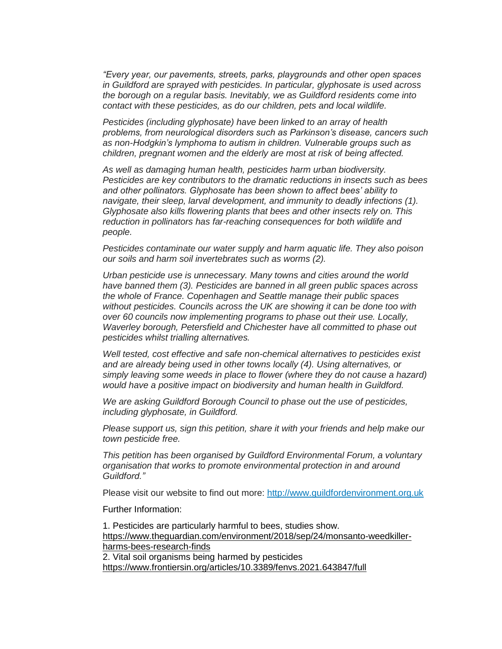*"Every year, our pavements, streets, parks, playgrounds and other open spaces in Guildford are sprayed with pesticides. In particular, glyphosate is used across the borough on a regular basis. Inevitably, we as Guildford residents come into contact with these pesticides, as do our children, pets and local wildlife.*

*Pesticides (including glyphosate) have been linked to an array of health problems, from neurological disorders such as Parkinson's disease, cancers such as non-Hodgkin's lymphoma to autism in children. Vulnerable groups such as children, pregnant women and the elderly are most at risk of being affected.*

*As well as damaging human health, pesticides harm urban biodiversity. Pesticides are key contributors to the dramatic reductions in insects such as bees and other pollinators. Glyphosate has been shown to affect bees' ability to navigate, their sleep, larval development, and immunity to deadly infections (1). Glyphosate also kills flowering plants that bees and other insects rely on. This reduction in pollinators has far-reaching consequences for both wildlife and people.*

*Pesticides contaminate our water supply and harm aquatic life. They also poison our soils and harm soil invertebrates such as worms (2).*

*Urban pesticide use is unnecessary. Many towns and cities around the world have banned them (3). Pesticides are banned in all green public spaces across the whole of France. Copenhagen and Seattle manage their public spaces without pesticides. Councils across the UK are showing it can be done too with over 60 councils now implementing programs to phase out their use. Locally, Waverley borough, Petersfield and Chichester have all committed to phase out pesticides whilst trialling alternatives.*

*Well tested, cost effective and safe non-chemical alternatives to pesticides exist and are already being used in other towns locally (4). Using alternatives, or*  simply leaving some weeds in place to flower (where they do not cause a hazard) *would have a positive impact on biodiversity and human health in Guildford.*

*We are asking Guildford Borough Council to phase out the use of pesticides, including glyphosate, in Guildford.*

*Please support us, sign this petition, share it with your friends and help make our town pesticide free.*

*This petition has been organised by Guildford Environmental Forum, a voluntary organisation that works to promote environmental protection in and around Guildford."*

Please visit our website to find out more: [http://www.guildfordenvironment.org.uk](http://www.guildfordenvironment.org.uk/)

Further Information:

1. Pesticides are particularly harmful to bees, studies show. [https://www.theguardian.com/environment/2018/sep/24/monsanto-weedkiller](https://www.theguardian.com/environment/2018/sep/24/monsanto-weedkiller-harms-bees-research-finds)[harms-bees-research-finds](https://www.theguardian.com/environment/2018/sep/24/monsanto-weedkiller-harms-bees-research-finds) 2. Vital soil organisms being harmed by pesticides

<https://www.frontiersin.org/articles/10.3389/fenvs.2021.643847/full>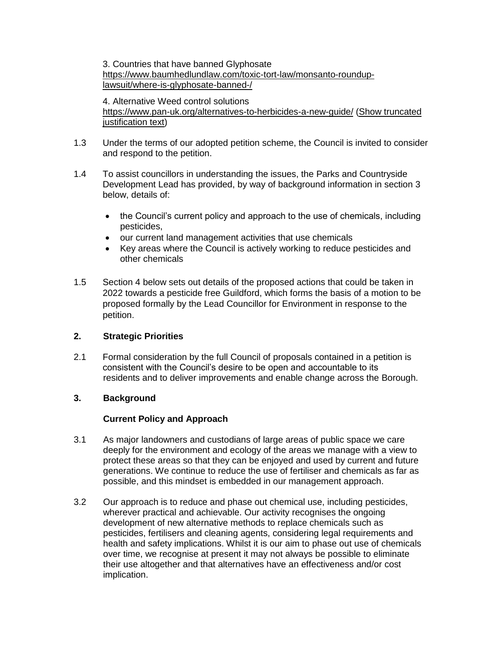3. Countries that have banned Glyphosate [https://www.baumhedlundlaw.com/toxic-tort-law/monsanto-roundup](https://www.baumhedlundlaw.com/toxic-tort-law/monsanto-roundup-lawsuit/where-is-glyphosate-banned-/)[lawsuit/where-is-glyphosate-banned-/](https://www.baumhedlundlaw.com/toxic-tort-law/monsanto-roundup-lawsuit/where-is-glyphosate-banned-/)

4. Alternative Weed control solutions <https://www.pan-uk.org/alternatives-to-herbicides-a-new-guide/> [\(Show truncated](http://hamilton.guildford.gov.uk:9070/mgEPetitionReview.aspx?id=46&TJ=1&SN=1&RPID=17947008&$LO$=1)  [justification text\)](http://hamilton.guildford.gov.uk:9070/mgEPetitionReview.aspx?id=46&TJ=1&SN=1&RPID=17947008&$LO$=1)

- 1.3 Under the terms of our adopted petition scheme, the Council is invited to consider and respond to the petition.
- 1.4 To assist councillors in understanding the issues, the Parks and Countryside Development Lead has provided, by way of background information in section 3 below, details of:
	- the Council's current policy and approach to the use of chemicals, including pesticides,
	- our current land management activities that use chemicals
	- Key areas where the Council is actively working to reduce pesticides and other chemicals
- 1.5 Section 4 below sets out details of the proposed actions that could be taken in 2022 towards a pesticide free Guildford, which forms the basis of a motion to be proposed formally by the Lead Councillor for Environment in response to the petition.

# **2. Strategic Priorities**

2.1 Formal consideration by the full Council of proposals contained in a petition is consistent with the Council's desire to be open and accountable to its residents and to deliver improvements and enable change across the Borough.

# **3. Background**

# **Current Policy and Approach**

- 3.1 As major landowners and custodians of large areas of public space we care deeply for the environment and ecology of the areas we manage with a view to protect these areas so that they can be enjoyed and used by current and future generations. We continue to reduce the use of fertiliser and chemicals as far as possible, and this mindset is embedded in our management approach.
- 3.2 Our approach is to reduce and phase out chemical use, including pesticides, wherever practical and achievable. Our activity recognises the ongoing development of new alternative methods to replace chemicals such as pesticides, fertilisers and cleaning agents, considering legal requirements and health and safety implications. Whilst it is our aim to phase out use of chemicals over time, we recognise at present it may not always be possible to eliminate their use altogether and that alternatives have an effectiveness and/or cost implication.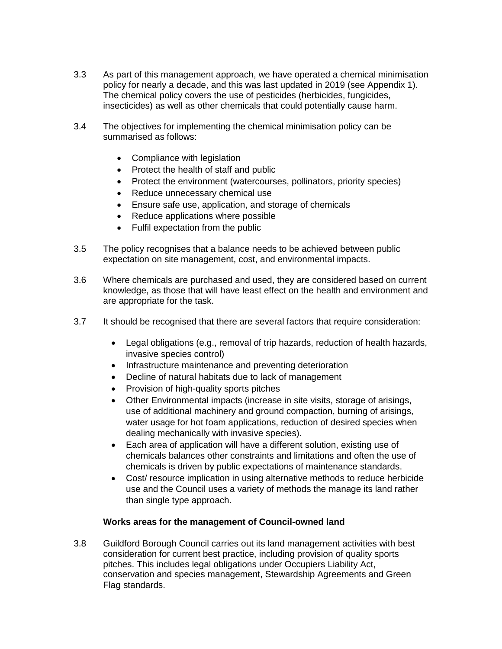- 3.3 As part of this management approach, we have operated a chemical minimisation policy for nearly a decade, and this was last updated in 2019 (see Appendix 1). The chemical policy covers the use of pesticides (herbicides, fungicides, insecticides) as well as other chemicals that could potentially cause harm.
- 3.4 The objectives for implementing the chemical minimisation policy can be summarised as follows:
	- Compliance with legislation
	- Protect the health of staff and public
	- Protect the environment (watercourses, pollinators, priority species)
	- Reduce unnecessary chemical use
	- Ensure safe use, application, and storage of chemicals
	- Reduce applications where possible
	- Fulfil expectation from the public
- 3.5 The policy recognises that a balance needs to be achieved between public expectation on site management, cost, and environmental impacts.
- 3.6 Where chemicals are purchased and used, they are considered based on current knowledge, as those that will have least effect on the health and environment and are appropriate for the task.
- 3.7 It should be recognised that there are several factors that require consideration:
	- Legal obligations (e.g., removal of trip hazards, reduction of health hazards, invasive species control)
	- Infrastructure maintenance and preventing deterioration
	- Decline of natural habitats due to lack of management
	- Provision of high-quality sports pitches
	- Other Environmental impacts (increase in site visits, storage of arisings, use of additional machinery and ground compaction, burning of arisings, water usage for hot foam applications, reduction of desired species when dealing mechanically with invasive species).
	- Each area of application will have a different solution, existing use of chemicals balances other constraints and limitations and often the use of chemicals is driven by public expectations of maintenance standards.
	- Cost/ resource implication in using alternative methods to reduce herbicide use and the Council uses a variety of methods the manage its land rather than single type approach.

# **Works areas for the management of Council-owned land**

3.8 Guildford Borough Council carries out its land management activities with best consideration for current best practice, including provision of quality sports pitches. This includes legal obligations under Occupiers Liability Act, conservation and species management, Stewardship Agreements and Green Flag standards.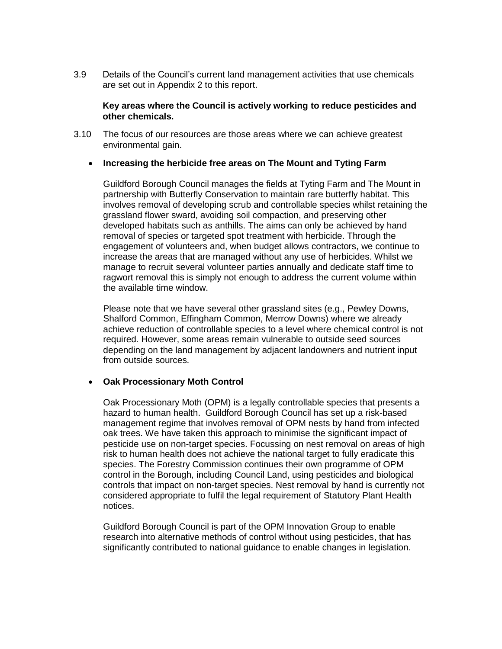3.9 Details of the Council's current land management activities that use chemicals are set out in Appendix 2 to this report.

#### **Key areas where the Council is actively working to reduce pesticides and other chemicals.**

3.10 The focus of our resources are those areas where we can achieve greatest environmental gain.

#### **Increasing the herbicide free areas on The Mount and Tyting Farm**

Guildford Borough Council manages the fields at Tyting Farm and The Mount in partnership with Butterfly Conservation to maintain rare butterfly habitat. This involves removal of developing scrub and controllable species whilst retaining the grassland flower sward, avoiding soil compaction, and preserving other developed habitats such as anthills. The aims can only be achieved by hand removal of species or targeted spot treatment with herbicide. Through the engagement of volunteers and, when budget allows contractors, we continue to increase the areas that are managed without any use of herbicides. Whilst we manage to recruit several volunteer parties annually and dedicate staff time to ragwort removal this is simply not enough to address the current volume within the available time window.

Please note that we have several other grassland sites (e.g., Pewley Downs, Shalford Common, Effingham Common, Merrow Downs) where we already achieve reduction of controllable species to a level where chemical control is not required. However, some areas remain vulnerable to outside seed sources depending on the land management by adjacent landowners and nutrient input from outside sources.

# **Oak Processionary Moth Control**

Oak Processionary Moth (OPM) is a legally controllable species that presents a hazard to human health. Guildford Borough Council has set up a risk-based management regime that involves removal of OPM nests by hand from infected oak trees. We have taken this approach to minimise the significant impact of pesticide use on non-target species. Focussing on nest removal on areas of high risk to human health does not achieve the national target to fully eradicate this species. The Forestry Commission continues their own programme of OPM control in the Borough, including Council Land, using pesticides and biological controls that impact on non-target species. Nest removal by hand is currently not considered appropriate to fulfil the legal requirement of Statutory Plant Health notices.

Guildford Borough Council is part of the OPM Innovation Group to enable research into alternative methods of control without using pesticides, that has significantly contributed to national guidance to enable changes in legislation.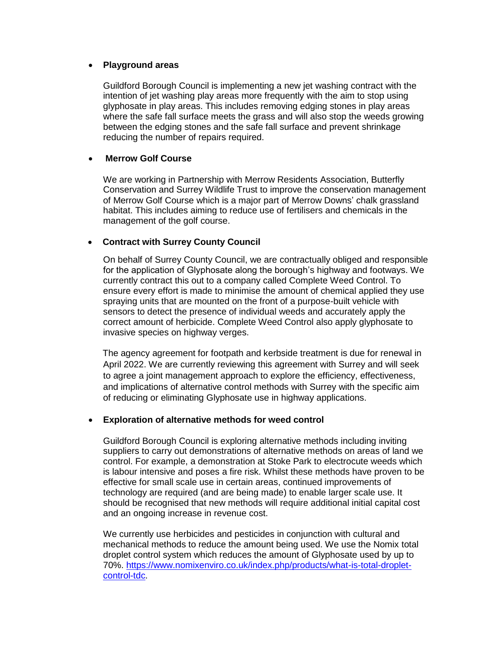#### **Playground areas**

Guildford Borough Council is implementing a new jet washing contract with the intention of jet washing play areas more frequently with the aim to stop using glyphosate in play areas. This includes removing edging stones in play areas where the safe fall surface meets the grass and will also stop the weeds growing between the edging stones and the safe fall surface and prevent shrinkage reducing the number of repairs required.

#### **Merrow Golf Course**

We are working in Partnership with Merrow Residents Association, Butterfly Conservation and Surrey Wildlife Trust to improve the conservation management of Merrow Golf Course which is a major part of Merrow Downs' chalk grassland habitat. This includes aiming to reduce use of fertilisers and chemicals in the management of the golf course.

# **Contract with Surrey County Council**

On behalf of Surrey County Council, we are contractually obliged and responsible for the application of Glyphosate along the borough's highway and footways. We currently contract this out to a company called Complete Weed Control. To ensure every effort is made to minimise the amount of chemical applied they use spraying units that are mounted on the front of a purpose-built vehicle with sensors to detect the presence of individual weeds and accurately apply the correct amount of herbicide. Complete Weed Control also apply glyphosate to invasive species on highway verges.

The agency agreement for footpath and kerbside treatment is due for renewal in April 2022. We are currently reviewing this agreement with Surrey and will seek to agree a joint management approach to explore the efficiency, effectiveness, and implications of alternative control methods with Surrey with the specific aim of reducing or eliminating Glyphosate use in highway applications.

#### **Exploration of alternative methods for weed control**

Guildford Borough Council is exploring alternative methods including inviting suppliers to carry out demonstrations of alternative methods on areas of land we control. For example, a demonstration at Stoke Park to electrocute weeds which is labour intensive and poses a fire risk. Whilst these methods have proven to be effective for small scale use in certain areas, continued improvements of technology are required (and are being made) to enable larger scale use. It should be recognised that new methods will require additional initial capital cost and an ongoing increase in revenue cost.

We currently use herbicides and pesticides in conjunction with cultural and mechanical methods to reduce the amount being used. We use the Nomix total droplet control system which reduces the amount of Glyphosate used by up to 70%. [https://www.nomixenviro.co.uk/index.php/products/what-is-total-droplet](https://www.nomixenviro.co.uk/index.php/products/what-is-total-droplet-control-tdc)[control-tdc.](https://www.nomixenviro.co.uk/index.php/products/what-is-total-droplet-control-tdc)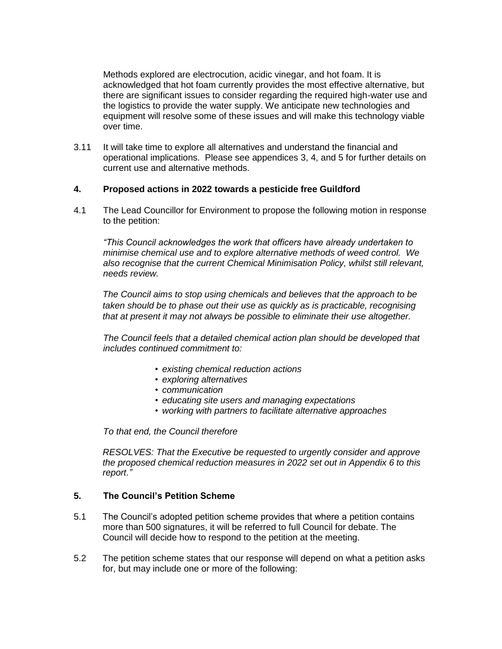Methods explored are electrocution, acidic vinegar, and hot foam. It is acknowledged that hot foam currently provides the most effective alternative, but there are significant issues to consider regarding the required high-water use and the logistics to provide the water supply. We anticipate new technologies and equipment will resolve some of these issues and will make this technology viable over time.

3.11 It will take time to explore all alternatives and understand the financial and operational implications. Please see appendices 3, 4, and 5 for further details on current use and alternative methods.

#### **4. Proposed actions in 2022 towards a pesticide free Guildford**

4.1 The Lead Councillor for Environment to propose the following motion in response to the petition:

*"This Council acknowledges the work that officers have already undertaken to minimise chemical use and to explore alternative methods of weed control. We also recognise that the current Chemical Minimisation Policy, whilst still relevant, needs review.* 

*The Council aims to stop using chemicals and believes that the approach to be taken should be to phase out their use as quickly as is practicable, recognising that at present it may not always be possible to eliminate their use altogether.* 

*The Council feels that a detailed chemical action plan should be developed that includes continued commitment to:*

- *• existing chemical reduction actions*
- *• exploring alternatives*
- *• communication*
- *• educating site users and managing expectations*
- *• working with partners to facilitate alternative approaches*

*To that end, the Council therefore* 

*RESOLVES: That the Executive be requested to urgently consider and approve the proposed chemical reduction measures in 2022 set out in Appendix 6 to this report."*

# **5. The Council's Petition Scheme**

- 5.1 The Council's adopted petition scheme provides that where a petition contains more than 500 signatures, it will be referred to full Council for debate. The Council will decide how to respond to the petition at the meeting.
- 5.2 The petition scheme states that our response will depend on what a petition asks for, but may include one or more of the following: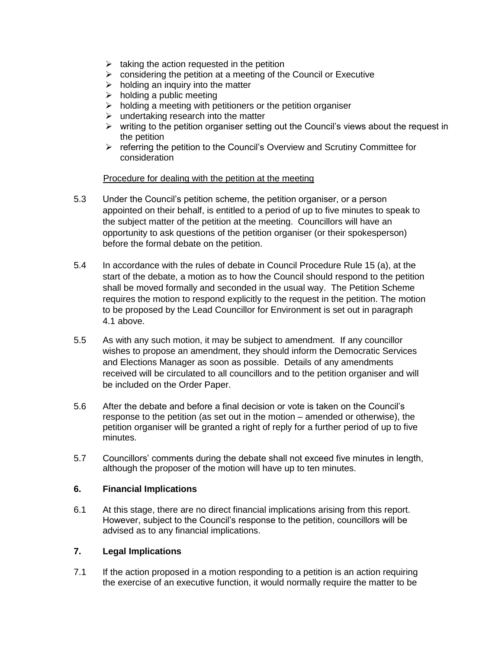- $\triangleright$  taking the action requested in the petition
- $\triangleright$  considering the petition at a meeting of the Council or Executive
- $\triangleright$  holding an inquiry into the matter
- $\triangleright$  holding a public meeting
- $\triangleright$  holding a meeting with petitioners or the petition organiser
- $\triangleright$  undertaking research into the matter
- $\triangleright$  writing to the petition organiser setting out the Council's views about the request in the petition
- $\triangleright$  referring the petition to the Council's Overview and Scrutiny Committee for consideration

#### Procedure for dealing with the petition at the meeting

- 5.3 Under the Council's petition scheme, the petition organiser, or a person appointed on their behalf, is entitled to a period of up to five minutes to speak to the subject matter of the petition at the meeting. Councillors will have an opportunity to ask questions of the petition organiser (or their spokesperson) before the formal debate on the petition.
- 5.4 In accordance with the rules of debate in Council Procedure Rule 15 (a), at the start of the debate, a motion as to how the Council should respond to the petition shall be moved formally and seconded in the usual way. The Petition Scheme requires the motion to respond explicitly to the request in the petition. The motion to be proposed by the Lead Councillor for Environment is set out in paragraph 4.1 above.
- 5.5 As with any such motion, it may be subject to amendment. If any councillor wishes to propose an amendment, they should inform the Democratic Services and Elections Manager as soon as possible. Details of any amendments received will be circulated to all councillors and to the petition organiser and will be included on the Order Paper.
- 5.6 After the debate and before a final decision or vote is taken on the Council's response to the petition (as set out in the motion – amended or otherwise), the petition organiser will be granted a right of reply for a further period of up to five minutes.
- 5.7 Councillors' comments during the debate shall not exceed five minutes in length, although the proposer of the motion will have up to ten minutes.

#### **6. Financial Implications**

6.1 At this stage, there are no direct financial implications arising from this report. However, subject to the Council's response to the petition, councillors will be advised as to any financial implications.

# **7. Legal Implications**

7.1 If the action proposed in a motion responding to a petition is an action requiring the exercise of an executive function, it would normally require the matter to be